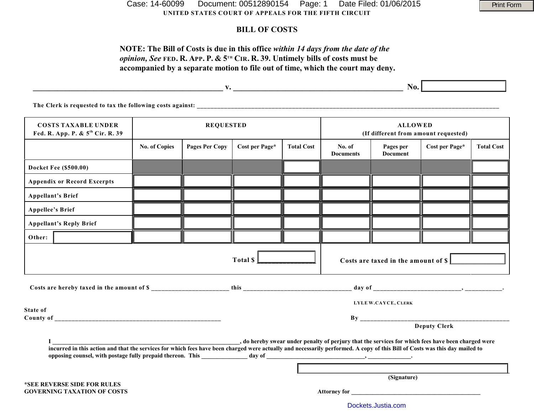**UNITED STATES COURT OF APPEALS FOR THE FIFTH CIRCUIT** Case: 14-60099 Document: 00512890154 Page: 1 Date Filed: 01/06/2015 Print Form

## **BILL OF COSTS**

# **NOTE: The Bill of Costs is due in this office** *within 14 days from the date of the opinion, See* FED. R. APP. P. &  $5^{th}$  CIR. R. 39. Untimely bills of costs must be **accompanied by a separate motion to file out of time, which the court may deny.**

|                                                                            |                      |                |                |                   | No.                                                    |                              |                |                   |
|----------------------------------------------------------------------------|----------------------|----------------|----------------|-------------------|--------------------------------------------------------|------------------------------|----------------|-------------------|
| The Clerk is requested to tax the following costs against:                 |                      |                |                |                   |                                                        |                              |                |                   |
| <b>COSTS TAXABLE UNDER</b><br>Fed. R. App. P. & 5 <sup>th</sup> Cir. R. 39 | <b>REQUESTED</b>     |                |                |                   | <b>ALLOWED</b><br>(If different from amount requested) |                              |                |                   |
|                                                                            | <b>No. of Copies</b> | Pages Per Copy | Cost per Page* | <b>Total Cost</b> | No. of<br><b>Documents</b>                             | Pages per<br><b>Document</b> | Cost per Page* | <b>Total Cost</b> |
| <b>Docket Fee (\$500.00)</b>                                               |                      |                |                |                   |                                                        |                              |                |                   |

|                                                                   |                                    | <b>No. of Copies</b> | Pages Per Copy | Cost per Page*                                                                                                                                                                                                                 | <b>Total Cost</b>   | No. of<br><b>Documents</b> | Pages per<br><b>Document</b> | Cost per Page*      | <b>Total Cost</b> |  |
|-------------------------------------------------------------------|------------------------------------|----------------------|----------------|--------------------------------------------------------------------------------------------------------------------------------------------------------------------------------------------------------------------------------|---------------------|----------------------------|------------------------------|---------------------|-------------------|--|
|                                                                   | Docket Fee (\$500.00)              |                      |                |                                                                                                                                                                                                                                |                     |                            |                              |                     |                   |  |
|                                                                   | <b>Appendix or Record Excerpts</b> |                      |                |                                                                                                                                                                                                                                |                     |                            |                              |                     |                   |  |
| <b>Appellant's Brief</b>                                          |                                    |                      |                |                                                                                                                                                                                                                                |                     |                            |                              |                     |                   |  |
| <b>Appellee's Brief</b>                                           |                                    |                      |                |                                                                                                                                                                                                                                |                     |                            |                              |                     |                   |  |
|                                                                   | <b>Appellant's Reply Brief</b>     |                      |                |                                                                                                                                                                                                                                |                     |                            |                              |                     |                   |  |
| Other:                                                            |                                    |                      |                |                                                                                                                                                                                                                                |                     |                            |                              |                     |                   |  |
| Total $\mathsf{S}$<br>Costs are taxed in the amount of \$         |                                    |                      |                |                                                                                                                                                                                                                                |                     |                            |                              |                     |                   |  |
|                                                                   |                                    |                      |                |                                                                                                                                                                                                                                |                     |                            |                              |                     |                   |  |
| State of                                                          |                                    |                      |                |                                                                                                                                                                                                                                | LYLE W.CAYCE, CLERK |                            |                              |                     |                   |  |
|                                                                   |                                    |                      |                |                                                                                                                                                                                                                                |                     |                            |                              |                     |                   |  |
|                                                                   |                                    |                      |                |                                                                                                                                                                                                                                |                     |                            |                              | <b>Deputy Clerk</b> |                   |  |
|                                                                   |                                    |                      |                |                                                                                                                                                                                                                                |                     |                            |                              |                     |                   |  |
|                                                                   |                                    |                      |                |                                                                                                                                                                                                                                |                     |                            |                              |                     |                   |  |
|                                                                   |                                    |                      |                | (Signature)                                                                                                                                                                                                                    |                     |                            |                              |                     |                   |  |
| *SEE REVERSE SIDE FOR RULES<br><b>GOVERNING TAXATION OF COSTS</b> |                                    |                      |                | Attorney for the state of the state of the state of the state of the state of the state of the state of the state of the state of the state of the state of the state of the state of the state of the state of the state of t |                     |                            |                              |                     |                   |  |

[Dockets.Justia.com](http://dockets.justia.com/)